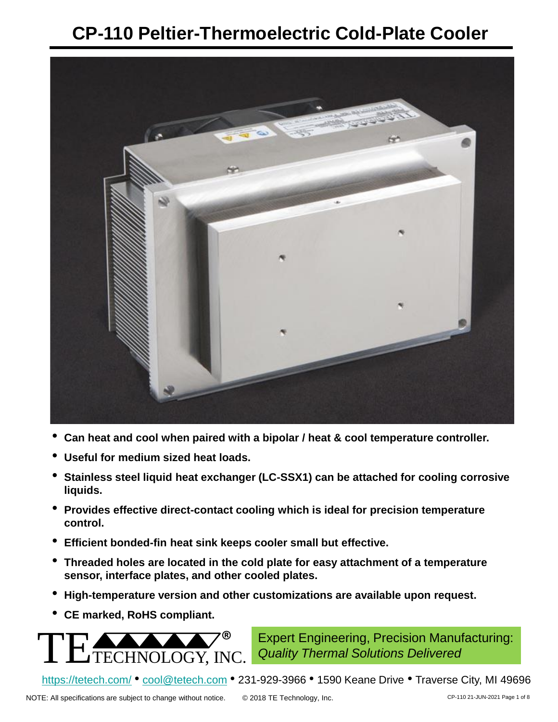# **CP-110 Peltier-Thermoelectric Cold-Plate Cooler**



- **Can heat and cool when paired with a bipolar / heat & cool temperature controller.**
- **Useful for medium sized heat loads.**
- **Stainless steel liquid heat exchanger (LC-SSX1) can be attached for cooling corrosive liquids.**
- **Provides effective direct-contact cooling which is ideal for precision temperature control.**
- **Efficient bonded-fin heat sink keeps cooler small but effective.**
- **Threaded holes are located in the cold plate for easy attachment of a temperature sensor, interface plates, and other cooled plates.**
- **High-temperature version and other customizations are available upon request.**
- **CE marked, RoHS compliant.**



Expert Engineering, Precision Manufacturing: *Quality Thermal Solutions Delivered*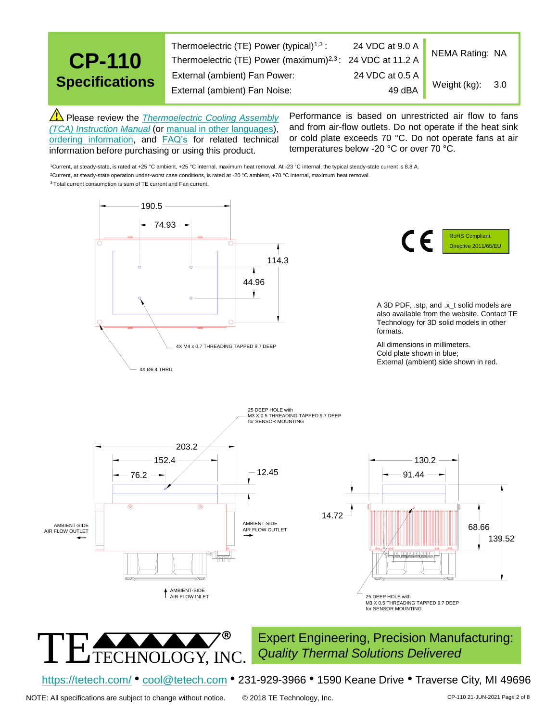| CP-110                | Thermoelectric (TE) Power (typical) $1,3$ :<br>Thermoelectric (TE) Power (maximum) <sup>2,3</sup> : 24 VDC at 11.2 A | 24 VDC at 9.0 A | NEMA Rating: NA  |  |
|-----------------------|----------------------------------------------------------------------------------------------------------------------|-----------------|------------------|--|
| <b>Specifications</b> | External (ambient) Fan Power:                                                                                        | 24 VDC at 0.5 A |                  |  |
|                       | External (ambient) Fan Noise:                                                                                        | 49 dBA          | Weight (kg): 3.0 |  |

Please review the *[Thermoelectric](https://tetech.com/files/TCA_Manual_English.pdf) Cooling Assembly (TCA) Instruction Manual* (or manual in other [languages\)](https://tetech.com/downloads/), ordering [information](https://tetech.com/files/ordering-information.pdf), and **[FAQ's](https://tetech.com/faqs/)** for related technical information before purchasing or using this product.

Performance is based on unrestricted air flow to fans and from air-flow outlets. Do not operate if the heat sink or cold plate exceeds 70 °C. Do not operate fans at air temperatures below -20 °C or over 70 °C.

<sup>1</sup>Current, at steady-state, is rated at +25 °C ambient, +25 °C internal, maximum heat removal. At -23 °C internal, the typical steady-state current is 8.8 A. <sup>2</sup>Current, at steady-state operation under-worst case conditions, is rated at -20 °C ambient, +70 °C internal, maximum heat removal. <sup>3</sup>Total current consumption is sum of TE current and Fan current.



A 3D PDF, .stp, and .x\_t solid models are also available from the website. Contact TE Technology for 3D solid models in other formats.

RoHS Compliant Directive 2011/65/EU

All dimensions in millimeters. Cold plate shown in blue; External (ambient) side shown in red.





Expert Engineering, Precision Manufacturing: *Quality Thermal Solutions Delivered*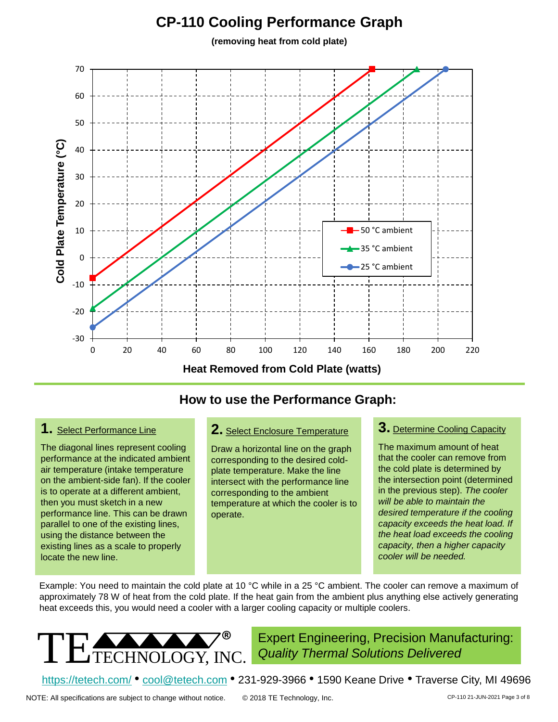## **CP-110 Cooling Performance Graph**

**(removing heat from cold plate)**



### **How to use the Performance Graph:**

#### **1.** Select Performance Line

The diagonal lines represent cooling performance at the indicated ambient air temperature (intake temperature on the ambient-side fan). If the cooler is to operate at a different ambient, then you must sketch in a new performance line. This can be drawn parallel to one of the existing lines, using the distance between the existing lines as a scale to properly locate the new line.

#### **2.** Select Enclosure Temperature

Draw a horizontal line on the graph corresponding to the desired coldplate temperature. Make the line intersect with the performance line corresponding to the ambient temperature at which the cooler is to operate.

### **3.** Determine Cooling Capacity

The maximum amount of heat that the cooler can remove from the cold plate is determined by the intersection point (determined in the previous step). *The cooler will be able to maintain the desired temperature if the cooling capacity exceeds the heat load. If the heat load exceeds the cooling capacity, then a higher capacity cooler will be needed.*

Example: You need to maintain the cold plate at 10 °C while in a 25 °C ambient. The cooler can remove a maximum of approximately 78 W of heat from the cold plate. If the heat gain from the ambient plus anything else actively generating



Expert Engineering, Precision Manufacturing: *Quality Thermal Solutions Delivered*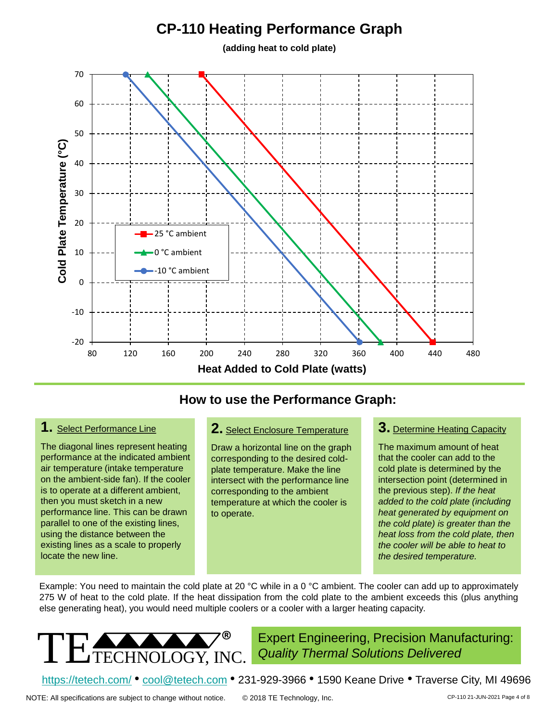## **CP-110 Heating Performance Graph**

**(adding heat to cold plate)**



### **How to use the Performance Graph:**

### **1.** Select Performance Line

The diagonal lines represent heating performance at the indicated ambient air temperature (intake temperature on the ambient-side fan). If the cooler is to operate at a different ambient, then you must sketch in a new performance line. This can be drawn parallel to one of the existing lines, using the distance between the existing lines as a scale to properly locate the new line.

#### **2.** Select Enclosure Temperature

Draw a horizontal line on the graph corresponding to the desired coldplate temperature. Make the line intersect with the performance line corresponding to the ambient temperature at which the cooler is to operate.

### **3.** Determine Heating Capacity

The maximum amount of heat that the cooler can add to the cold plate is determined by the intersection point (determined in the previous step). *If the heat added to the cold plate (including heat generated by equipment on the cold plate) is greater than the heat loss from the cold plate, then the cooler will be able to heat to the desired temperature.*

Example: You need to maintain the cold plate at 20 °C while in a 0 °C ambient. The cooler can add up to approximately 275 W of heat to the cold plate. If the heat dissipation from the cold plate to the ambient exceeds this (plus anything



Expert Engineering, Precision Manufacturing: *Quality Thermal Solutions Delivered*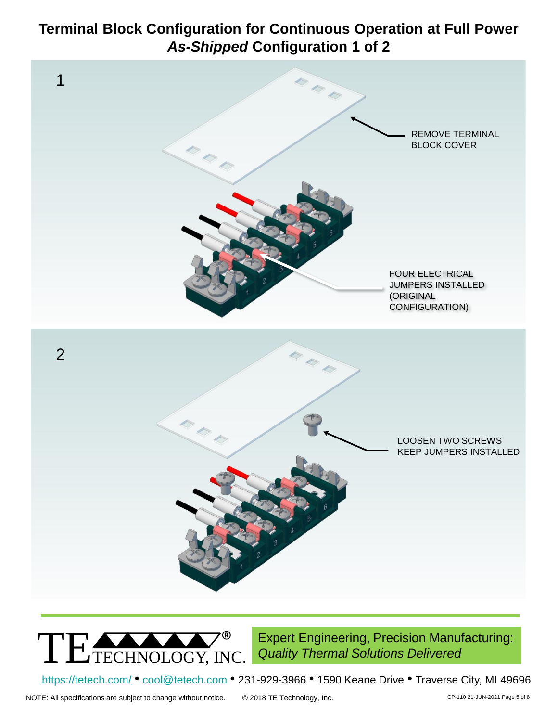**Terminal Block Configuration for Continuous Operation at Full Power** *As-Shipped* **Configuration 1 of 2**





Expert Engineering, Precision Manufacturing: *Quality Thermal Solutions Delivered*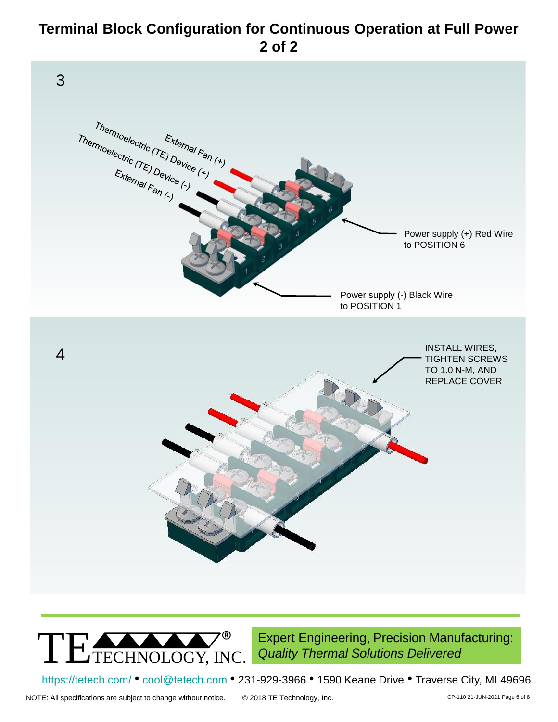## **Terminal Block Configuration for Continuous Operation at Full Power 2 of 2**





Expert Engineering, Precision Manufacturing: *Quality Thermal Solutions Delivered*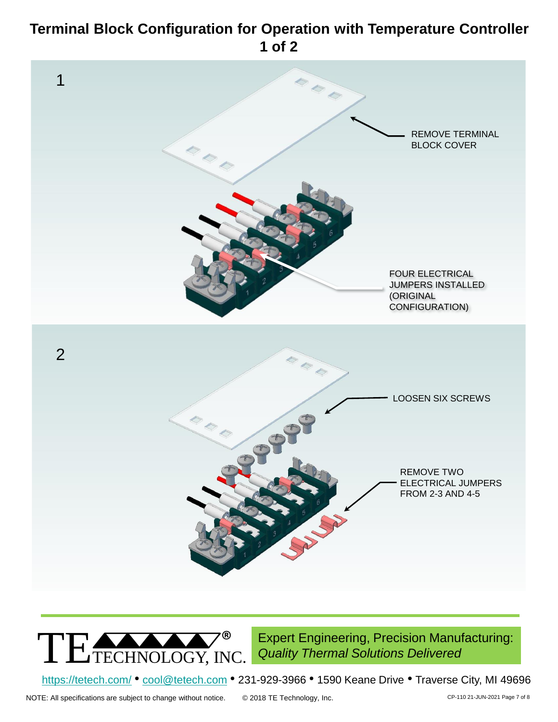## **Terminal Block Configuration for Operation with Temperature Controller 1 of 2**





Expert Engineering, Precision Manufacturing: *Quality Thermal Solutions Delivered*